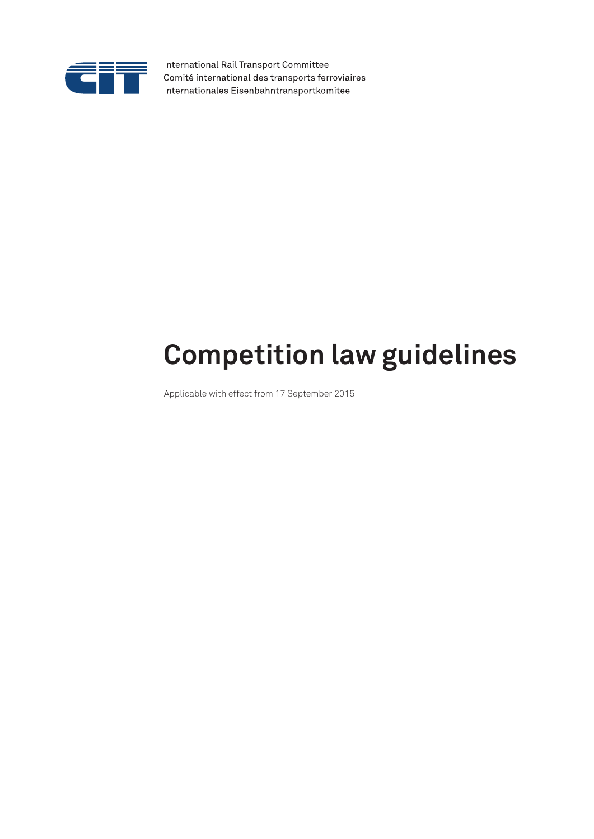

International Rail Transport Committee Comité international des transports ferroviaires Internationales Eisenbahntransportkomitee

# **Competition law guidelines**

Applicable with effect from 17 September 2015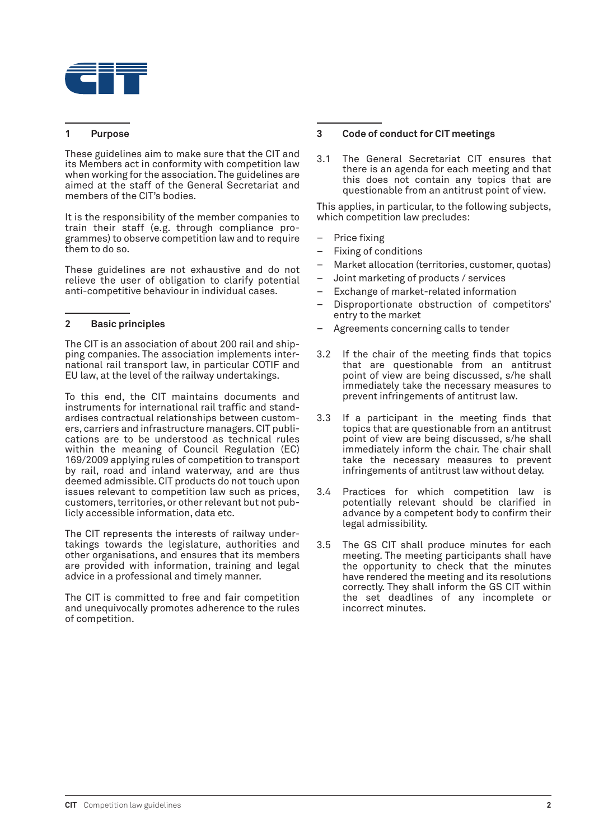

# **1 Purpose**

These guidelines aim to make sure that the CIT and its Members act in conformity with competition law when working for the association. The guidelines are aimed at the staff of the General Secretariat and members of the CIT's bodies.

It is the responsibility of the member companies to train their staff (e.g. through compliance programmes) to observe competition law and to require them to do so.

These guidelines are not exhaustive and do not relieve the user of obligation to clarify potential anti-competitive behaviour in individual cases.

# **2 Basic principles**

The CIT is an association of about 200 rail and shipping companies. The association implements international rail transport law, in particular COTIF and EU law, at the level of the railway undertakings.

To this end, the CIT maintains documents and instruments for international rail traffic and standardises contractual relationships between customers, carriers and infrastructure managers. CIT publications are to be understood as technical rules within the meaning of Council Regulation (EC) 169/2009 applying rules of competition to transport by rail, road and inland waterway, and are thus deemed admissible. CIT products do not touch upon issues relevant to competition law such as prices, customers, territories, or other relevant but not publicly accessible information, data etc.

The CIT represents the interests of railway undertakings towards the legislature, authorities and other organisations, and ensures that its members are provided with information, training and legal advice in a professional and timely manner.

The CIT is committed to free and fair competition and unequivocally promotes adherence to the rules of competition.

# **3 Code of conduct for CIT meetings**

3.1 The General Secretariat CIT ensures that there is an agenda for each meeting and that this does not contain any topics that are questionable from an antitrust point of view.

This applies, in particular, to the following subjects, which competition law precludes:

- Price fixing
- Fixing of conditions
- Market allocation (territories, customer, quotas)
- Joint marketing of products / services
- Exchange of market-related information
- Disproportionate obstruction of competitors' entry to the market
- Agreements concerning calls to tender
- 3.2 If the chair of the meeting finds that topics that are questionable from an antitrust point of view are being discussed, s/he shall immediately take the necessary measures to prevent infringements of antitrust law.
- 3.3 If a participant in the meeting finds that topics that are questionable from an antitrust point of view are being discussed, s/he shall immediately inform the chair. The chair shall take the necessary measures to prevent infringements of antitrust law without delay.
- 3.4 Practices for which competition law is potentially relevant should be clarified in advance by a competent body to confirm their legal admissibility.
- 3.5 The GS CIT shall produce minutes for each meeting. The meeting participants shall have the opportunity to check that the minutes have rendered the meeting and its resolutions correctly. They shall inform the GS CIT within the set deadlines of any incomplete or incorrect minutes.